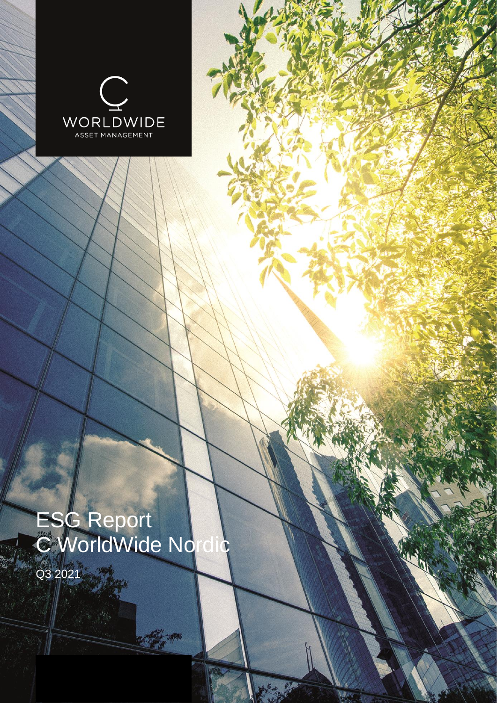

# ESG Report C WorldWide Nordic

Contractor

Q3 2021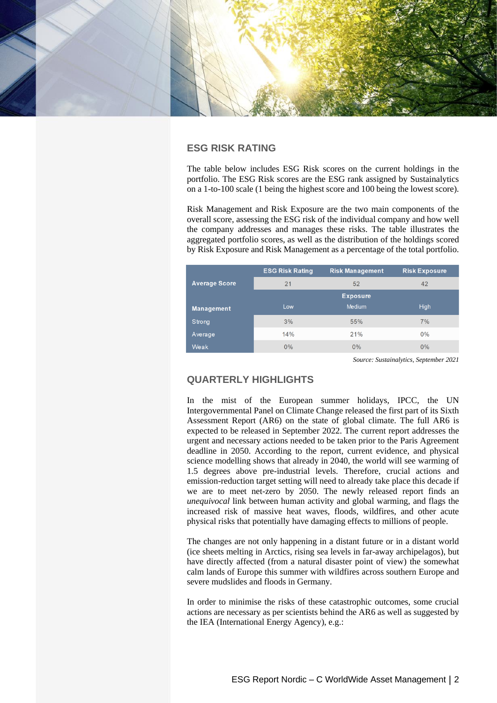

## **ESG RISK RATING**

The table below includes ESG Risk scores on the current holdings in the portfolio. The ESG Risk scores are the ESG rank assigned by Sustainalytics on a 1-to-100 scale (1 being the highest score and 100 being the lowest score).

Risk Management and Risk Exposure are the two main components of the overall score, assessing the ESG risk of the individual company and how well the company addresses and manages these risks. The table illustrates the aggregated portfolio scores, as well as the distribution of the holdings scored by Risk Exposure and Risk Management as a percentage of the total portfolio.

|                      | <b>ESG Risk Rating</b> | <b>Risk Management</b> | <b>Risk Exposure</b> |  |  |
|----------------------|------------------------|------------------------|----------------------|--|--|
| <b>Average Score</b> | 21                     | 52                     | 42                   |  |  |
|                      |                        | <b>Exposure</b>        |                      |  |  |
| <b>Management</b>    | Low                    | <b>Medium</b>          | <b>High</b>          |  |  |
| Strong               | 3%                     | 55%                    | 7%                   |  |  |
| Average              | 14%                    | 21%                    | $0\%$                |  |  |
| <b>Weak</b>          | 0%                     | 0%                     | $0\%$                |  |  |

*Source: Sustainalytics, September 2021*

## **QUARTERLY HIGHLIGHTS**

In the mist of the European summer holidays, IPCC, the UN Intergovernmental Panel on Climate Change released the first part of its Sixth Assessment Report (AR6) on the state of global climate. The full AR6 is expected to be released in September 2022. The current report addresses the urgent and necessary actions needed to be taken prior to the Paris Agreement deadline in 2050. According to the report, current evidence, and physical science modelling shows that already in 2040, the world will see warming of 1.5 degrees above pre-industrial levels. Therefore, crucial actions and emission-reduction target setting will need to already take place this decade if we are to meet net-zero by 2050. The newly released report finds an *unequivocal* link between human activity and global warming, and flags the increased risk of massive heat waves, floods, wildfires, and other acute physical risks that potentially have damaging effects to millions of people.

The changes are not only happening in a distant future or in a distant world (ice sheets melting in Arctics, rising sea levels in far-away archipelagos), but have directly affected (from a natural disaster point of view) the somewhat calm lands of Europe this summer with wildfires across southern Europe and severe mudslides and floods in Germany.

In order to minimise the risks of these catastrophic outcomes, some crucial actions are necessary as per scientists behind the AR6 as well as suggested by the IEA (International Energy Agency), e.g.: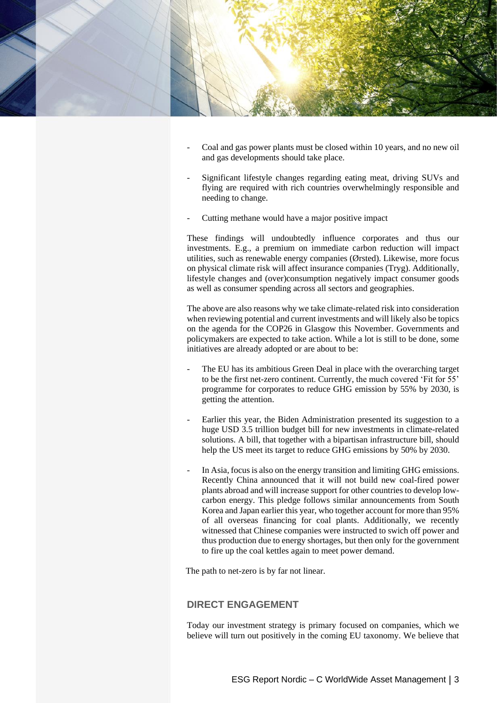

- Coal and gas power plants must be closed within 10 years, and no new oil and gas developments should take place.
- Significant lifestyle changes regarding eating meat, driving SUVs and flying are required with rich countries overwhelmingly responsible and needing to change.
- Cutting methane would have a major positive impact

These findings will undoubtedly influence corporates and thus our investments. E.g., a premium on immediate carbon reduction will impact utilities, such as renewable energy companies (Ørsted). Likewise, more focus on physical climate risk will affect insurance companies (Tryg). Additionally, lifestyle changes and (over)consumption negatively impact consumer goods as well as consumer spending across all sectors and geographies.

The above are also reasons why we take climate-related risk into consideration when reviewing potential and current investments and will likely also be topics on the agenda for the COP26 in Glasgow this November. Governments and policymakers are expected to take action. While a lot is still to be done, some initiatives are already adopted or are about to be:

- The EU has its ambitious Green Deal in place with the overarching target to be the first net-zero continent. Currently, the much covered 'Fit for 55' programme for corporates to reduce GHG emission by 55% by 2030, is getting the attention.
- Earlier this year, the Biden Administration presented its suggestion to a huge USD 3.5 trillion budget bill for new investments in climate-related solutions. A bill, that together with a bipartisan infrastructure bill, should help the US meet its target to reduce GHG emissions by 50% by 2030.
- In Asia, focus is also on the energy transition and limiting GHG emissions. Recently China announced that it will not build new coal-fired power plants abroad and will increase support for other countries to develop lowcarbon energy. This pledge follows similar announcements from South Korea and Japan earlier this year, who together account for more than 95% of all overseas financing for coal plants. Additionally, we recently witnessed that Chinese companies were instructed to swich off power and thus production due to energy shortages, but then only for the government to fire up the coal kettles again to meet power demand.

The path to net-zero is by far not linear.

## **DIRECT ENGAGEMENT**

Today our investment strategy is primary focused on companies, which we believe will turn out positively in the coming EU taxonomy. We believe that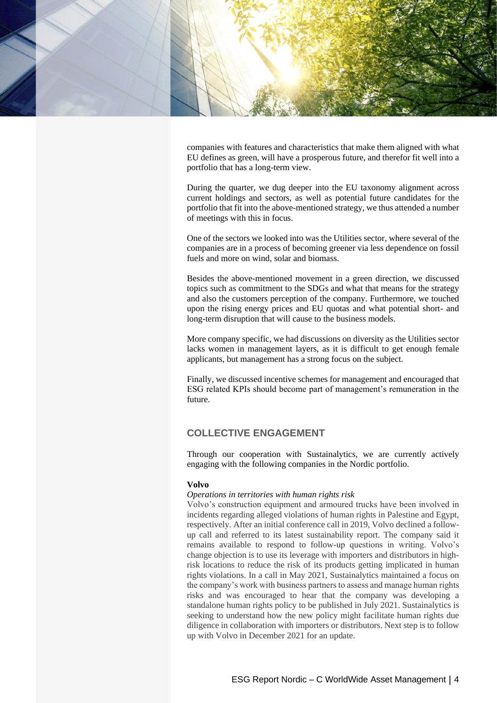

companies with features and characteristics that make them aligned with what EU defines as green, will have a prosperous future, and therefor fit well into a portfolio that has a long-term view.

During the quarter, we dug deeper into the EU taxonomy alignment across current holdings and sectors, as well as potential future candidates for the portfolio that fit into the above-mentioned strategy, we thus attended a number of meetings with this in focus.

One of the sectors we looked into was the Utilities sector, where several of the companies are in a process of becoming greener via less dependence on fossil fuels and more on wind, solar and biomass.

Besides the above-mentioned movement in a green direction, we discussed topics such as commitment to the SDGs and what that means for the strategy and also the customers perception of the company. Furthermore, we touched upon the rising energy prices and EU quotas and what potential short- and long-term disruption that will cause to the business models.

More company specific, we had discussions on diversity as the Utilities sector lacks women in management layers, as it is difficult to get enough female applicants, but management has a strong focus on the subject.

Finally, we discussed incentive schemes for management and encouraged that ESG related KPIs should become part of management's remuneration in the future.

# **COLLECTIVE ENGAGEMENT**

Through our cooperation with Sustainalytics, we are currently actively engaging with the following companies in the Nordic portfolio.

## **Volvo**

#### *Operations in territories with human rights risk*

Volvo's construction equipment and armoured trucks have been involved in incidents regarding alleged violations of human rights in Palestine and Egypt, respectively. After an initial conference call in 2019, Volvo declined a followup call and referred to its latest sustainability report. The company said it remains available to respond to follow-up questions in writing. Volvo's change objection is to use its leverage with importers and distributors in highrisk locations to reduce the risk of its products getting implicated in human rights violations. In a call in May 2021, Sustainalytics maintained a focus on the company's work with business partners to assess and manage human rights risks and was encouraged to hear that the company was developing a standalone human rights policy to be published in July 2021. Sustainalytics is seeking to understand how the new policy might facilitate human rights due diligence in collaboration with importers or distributors. Next step is to follow up with Volvo in December 2021 for an update.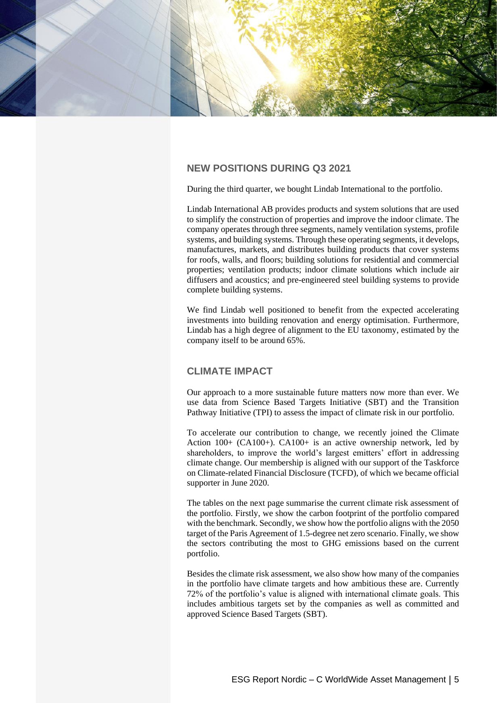

## **NEW POSITIONS DURING Q3 2021**

During the third quarter, we bought Lindab International to the portfolio.

Lindab International AB provides products and system solutions that are used to simplify the construction of properties and improve the indoor climate. The company operates through three segments, namely ventilation systems, profile systems, and building systems. Through these operating segments, it develops, manufactures, markets, and distributes building products that cover systems for roofs, walls, and floors; building solutions for residential and commercial properties; ventilation products; indoor climate solutions which include air diffusers and acoustics; and pre-engineered steel building systems to provide complete building systems.

We find Lindab well positioned to benefit from the expected accelerating investments into building renovation and energy optimisation. Furthermore, Lindab has a high degree of alignment to the EU taxonomy, estimated by the company itself to be around 65%.

## **CLIMATE IMPACT**

Our approach to a more sustainable future matters now more than ever. We use data from Science Based Targets Initiative (SBT) and the Transition Pathway Initiative (TPI) to assess the impact of climate risk in our portfolio.

To accelerate our contribution to change, we recently joined the Climate Action 100+ (CA100+). CA100+ is an active ownership network, led by shareholders, to improve the world's largest emitters' effort in addressing climate change. Our membership is aligned with our support of the Taskforce on Climate-related Financial Disclosure (TCFD), of which we became official supporter in June 2020.

The tables on the next page summarise the current climate risk assessment of the portfolio. Firstly, we show the carbon footprint of the portfolio compared with the benchmark. Secondly, we show how the portfolio aligns with the 2050 target of the Paris Agreement of 1.5-degree net zero scenario. Finally, we show the sectors contributing the most to GHG emissions based on the current portfolio.

Besides the climate risk assessment, we also show how many of the companies in the portfolio have climate targets and how ambitious these are. Currently 72% of the portfolio's value is aligned with international climate goals. This includes ambitious targets set by the companies as well as committed and approved Science Based Targets (SBT).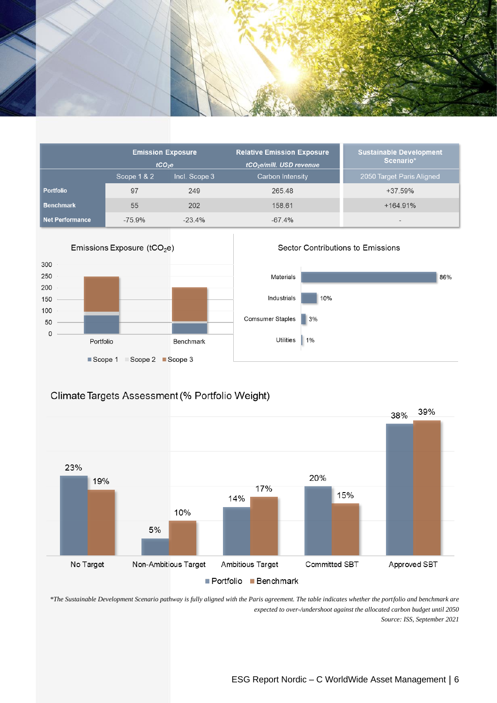

|                        |             | <b>Emission Exposure</b> | <b>Sustainable Development</b>       |                           |  |  |
|------------------------|-------------|--------------------------|--------------------------------------|---------------------------|--|--|
|                        |             | tCO <sub>2</sub> e       | tCO <sub>2</sub> e/mill. USD revenue | Scenario*                 |  |  |
|                        | Scope 1 & 2 | Incl. Scope 3            | <b>Carbon Intensity</b>              | 2050 Target Paris Aligned |  |  |
| <b>Portfolio</b>       | 97          | 249                      | 265.48                               | +37.59%                   |  |  |
| <b>Benchmark</b>       | 55          | 202                      | 158.61                               | $+164.91%$                |  |  |
| <b>Net Performance</b> | $-75.9%$    | $-23.4%$                 | $-67.4%$                             | $\overline{\phantom{a}}$  |  |  |



# Climate Targets Assessment (% Portfolio Weight)



*\*The Sustainable Development Scenario pathway is fully aligned with the Paris agreement. The table indicates whether the portfolio and benchmark are expected to over-/undershoot against the allocated carbon budget until 2050 Source: ISS, September 2021*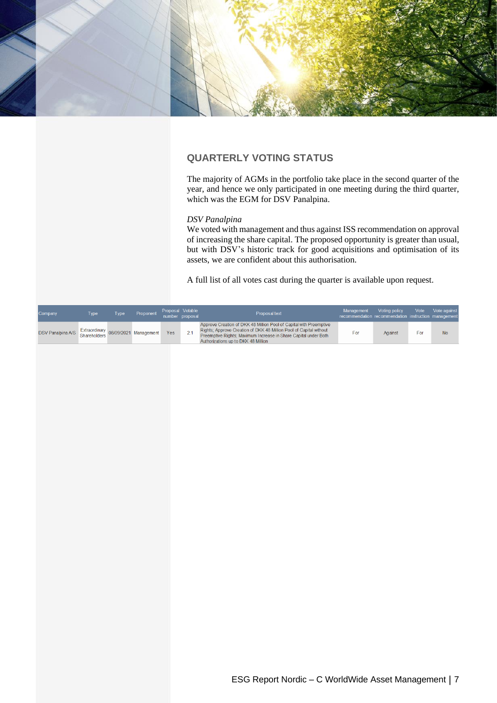

## **QUARTERLY VOTING STATUS**

The majority of AGMs in the portfolio take place in the second quarter of the year, and hence we only participated in one meeting during the third quarter, which was the EGM for DSV Panalpina.

#### *DSV Panalpina*

We voted with management and thus against ISS recommendation on approval of increasing the share capital. The proposed opportunity is greater than usual, but with DSV's historic track for good acquisitions and optimisation of its assets, we are confident about this authorisation.

A full list of all votes cast during the quarter is available upon request.

| Company                                               | Type | Tvpe | Proponent | Proposal Votable | number proposal | Proposal text                                                                                                                                                                                                                                      | Management<br>recommendation recommendation instruction management | Voting policy | Vote | Vote against |
|-------------------------------------------------------|------|------|-----------|------------------|-----------------|----------------------------------------------------------------------------------------------------------------------------------------------------------------------------------------------------------------------------------------------------|--------------------------------------------------------------------|---------------|------|--------------|
| DSV Panalpina A/S Extraordinary 08/09/2021 Management |      |      |           | Yes              |                 | Approve Creation of DKK 48 Million Pool of Capital with Preemptive<br>Rights; Approve Creation of DKK 48 Million Pool of Capital without<br>Preemptive Rights; Maximum Increase in Share Capital under Both<br>Authorizations up to DKK 48 Million | For                                                                | Against       | For  | <b>No</b>    |